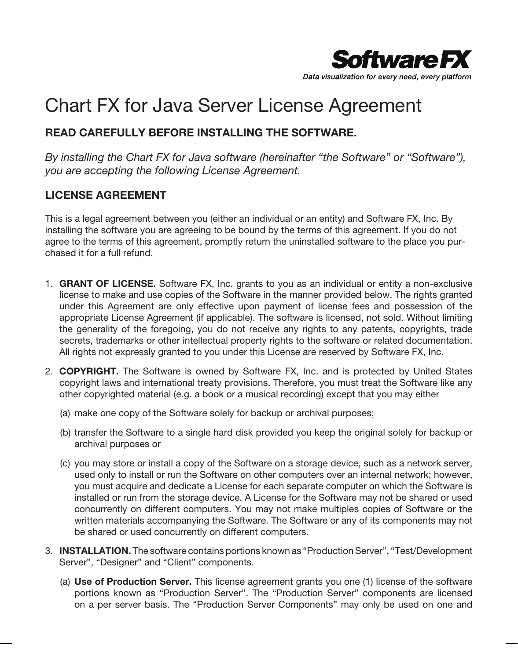

## Chart FX for Java Server License Agreement

## READ CAREFULLY BEFORE INSTALLING THE SOFTWARE.

By installing the Chart FX for Java software (hereinafter "the Software" or "Software"), you are accepting the following License Agreement.

## LICENSE AGREEMENT

This is a legal agreement between you (either an individual or an entity) and Software FX, Inc. By installing the software you are agreeing to be bound by the terms of this agreement. If you do not agree to the terms of this agreement, promptly return the uninstalled software to the place you purchased it for a full refund.

- 1. GRANT OF LICENSE. Software FX, Inc. grants to you as an individual or entity a non-exclusive license to make and use copies of the Software in the manner provided below. The rights granted under this Agreement are only effective upon payment of license fees and possession of the appropriate License Agreement (if applicable). The software is licensed, not sold. Without limiting the generality of the foregoing, you do not receive any rights to any patents, copyrights, trade secrets, trademarks or other intellectual property rights to the software or related documentation. All rights not expressly granted to you under this License are reserved by Software FX, Inc.
- 2. COPYRIGHT. The Software is owned by Software FX, Inc. and is protected by United States copyright laws and international treaty provisions. Therefore, you must treat the Software like any other copyrighted material (e.g. a book or a musical recording) except that you may either
	- (a) make one copy of the Software solely for backup or archival purposes;
	- (b) transfer the Software to a single hard disk provided you keep the original solely for backup or archival purposes or
	- (c) you may store or install a copy of the Software on a storage device, such as a network server, used only to install or run the Software on other computers over an internal network; however, you must acquire and dedicate a License for each separate computer on which the Software is installed or run from the storage device. A License for the Software may not be shared or used concurrently on different computers. You may not make multiples copies of Software or the written materials accompanying the Software. The Software or any of its components may not be shared or used concurrently on different computers.
- 3. INSTALLATION. The software contains portions known as "Production Server", "Test/Development Server", "Designer" and "Client" components.
	- (a) Use of Production Server. This license agreement grants you one (1) license of the software portions known as "Production Server". The "Production Server" components are licensed on a per server basis. The "Production Server Components" may only be used on one and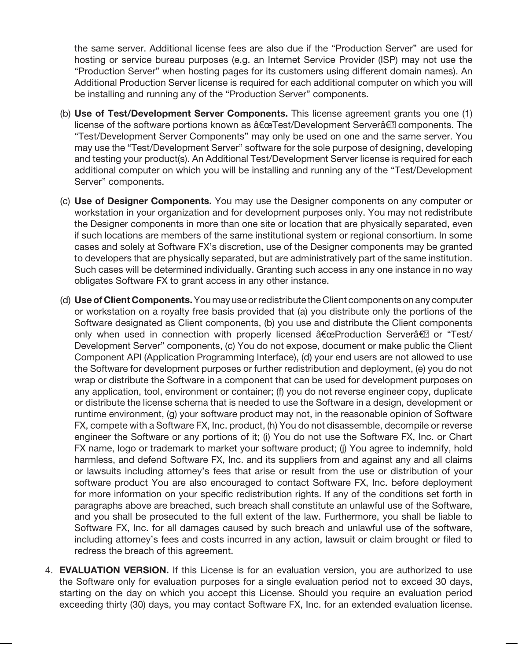the same server. Additional license fees are also due if the "Production Server" are used for hosting or service bureau purposes (e.g. an Internet Service Provider (ISP) may not use the "Production Server" when hosting pages for its customers using different domain names). An Additional Production Server license is required for each additional computer on which you will be installing and running any of the "Production Server" components.

- (b) Use of Test/Development Server Components. This license agreement grants you one (1) license of the software portions known as "Test/Development Server†components. The "Test/Development Server Components" may only be used on one and the same server. You may use the "Test/Development Server" software for the sole purpose of designing, developing and testing your product(s). An Additional Test/Development Server license is required for each additional computer on which you will be installing and running any of the "Test/Development Server" components.
- (c) Use of Designer Components. You may use the Designer components on any computer or workstation in your organization and for development purposes only. You may not redistribute the Designer components in more than one site or location that are physically separated, even if such locations are members of the same institutional system or regional consortium. In some cases and solely at Software FX's discretion, use of the Designer components may be granted to developers that are physically separated, but are administratively part of the same institution. Such cases will be determined individually. Granting such access in any one instance in no way obligates Software FX to grant access in any other instance.
- (d) Use of Client Components. You may use or redistribute the Client components on any computer or workstation on a royalty free basis provided that (a) you distribute only the portions of the Software designated as Client components, (b) you use and distribute the Client components only when used in connection with properly licensed "Production Server†or "Test/ Development Server" components, (c) You do not expose, document or make public the Client Component API (Application Programming Interface), (d) your end users are not allowed to use the Software for development purposes or further redistribution and deployment, (e) you do not wrap or distribute the Software in a component that can be used for development purposes on any application, tool, environment or container; (f) you do not reverse engineer copy, duplicate or distribute the license schema that is needed to use the Software in a design, development or runtime environment, (g) your software product may not, in the reasonable opinion of Software FX, compete with a Software FX, Inc. product, (h) You do not disassemble, decompile or reverse engineer the Software or any portions of it; (i) You do not use the Software FX, Inc. or Chart FX name, logo or trademark to market your software product; (j) You agree to indemnify, hold harmless, and defend Software FX, Inc. and its suppliers from and against any and all claims or lawsuits including attorney's fees that arise or result from the use or distribution of your software product You are also encouraged to contact Software FX, Inc. before deployment for more information on your specific redistribution rights. If any of the conditions set forth in paragraphs above are breached, such breach shall constitute an unlawful use of the Software, and you shall be prosecuted to the full extent of the law. Furthermore, you shall be liable to Software FX, Inc. for all damages caused by such breach and unlawful use of the software, including attorney's fees and costs incurred in any action, lawsuit or claim brought or filed to redress the breach of this agreement.
- 4. **EVALUATION VERSION.** If this License is for an evaluation version, you are authorized to use the Software only for evaluation purposes for a single evaluation period not to exceed 30 days, starting on the day on which you accept this License. Should you require an evaluation period exceeding thirty (30) days, you may contact Software FX, Inc. for an extended evaluation license.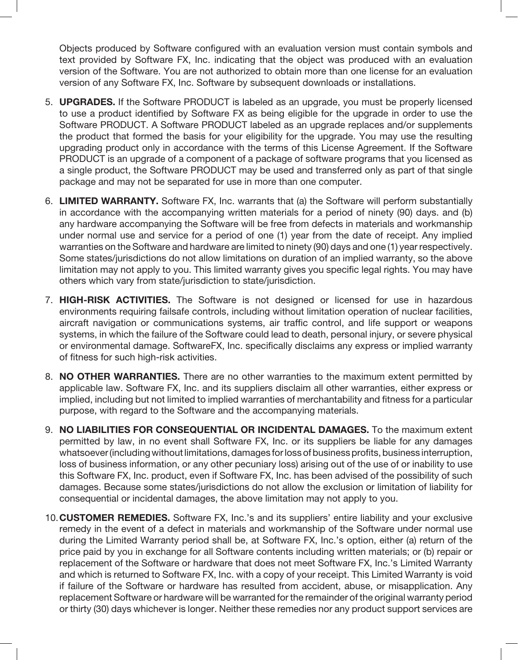Objects produced by Software configured with an evaluation version must contain symbols and text provided by Software FX, Inc. indicating that the object was produced with an evaluation version of the Software. You are not authorized to obtain more than one license for an evaluation version of any Software FX, Inc. Software by subsequent downloads or installations.

- 5. UPGRADES. If the Software PRODUCT is labeled as an upgrade, you must be properly licensed to use a product identified by Software FX as being eligible for the upgrade in order to use the Software PRODUCT. A Software PRODUCT labeled as an upgrade replaces and/or supplements the product that formed the basis for your eligibility for the upgrade. You may use the resulting upgrading product only in accordance with the terms of this License Agreement. If the Software PRODUCT is an upgrade of a component of a package of software programs that you licensed as a single product, the Software PRODUCT may be used and transferred only as part of that single package and may not be separated for use in more than one computer.
- 6. LIMITED WARRANTY. Software FX, Inc. warrants that (a) the Software will perform substantially in accordance with the accompanying written materials for a period of ninety (90) days. and (b) any hardware accompanying the Software will be free from defects in materials and workmanship under normal use and service for a period of one (1) year from the date of receipt. Any implied warranties on the Software and hardware are limited to ninety (90) days and one (1) year respectively. Some states/jurisdictions do not allow limitations on duration of an implied warranty, so the above limitation may not apply to you. This limited warranty gives you specific legal rights. You may have others which vary from state/jurisdiction to state/jurisdiction.
- 7. **HIGH-RISK ACTIVITIES.** The Software is not designed or licensed for use in hazardous environments requiring failsafe controls, including without limitation operation of nuclear facilities, aircraft navigation or communications systems, air traffic control, and life support or weapons systems, in which the failure of the Software could lead to death, personal injury, or severe physical or environmental damage. SoftwareFX, Inc. specifically disclaims any express or implied warranty of fitness for such high-risk activities.
- 8. NO OTHER WARRANTIES. There are no other warranties to the maximum extent permitted by applicable law. Software FX, Inc. and its suppliers disclaim all other warranties, either express or implied, including but not limited to implied warranties of merchantability and fitness for a particular purpose, with regard to the Software and the accompanying materials.
- 9. NO LIABILITIES FOR CONSEQUENTIAL OR INCIDENTAL DAMAGES. To the maximum extent permitted by law, in no event shall Software FX, Inc. or its suppliers be liable for any damages whatsoever (including without limitations, damages for loss of business profits, business interruption, loss of business information, or any other pecuniary loss) arising out of the use of or inability to use this Software FX, Inc. product, even if Software FX, Inc. has been advised of the possibility of such damages. Because some states/jurisdictions do not allow the exclusion or limitation of liability for consequential or incidental damages, the above limitation may not apply to you.
- 10.CUSTOMER REMEDIES. Software FX, Inc.'s and its suppliers' entire liability and your exclusive remedy in the event of a defect in materials and workmanship of the Software under normal use during the Limited Warranty period shall be, at Software FX, Inc.'s option, either (a) return of the price paid by you in exchange for all Software contents including written materials; or (b) repair or replacement of the Software or hardware that does not meet Software FX, Inc.'s Limited Warranty and which is returned to Software FX, Inc. with a copy of your receipt. This Limited Warranty is void if failure of the Software or hardware has resulted from accident, abuse, or misapplication. Any replacement Software or hardware will be warranted for the remainder of the original warranty period or thirty (30) days whichever is longer. Neither these remedies nor any product support services are